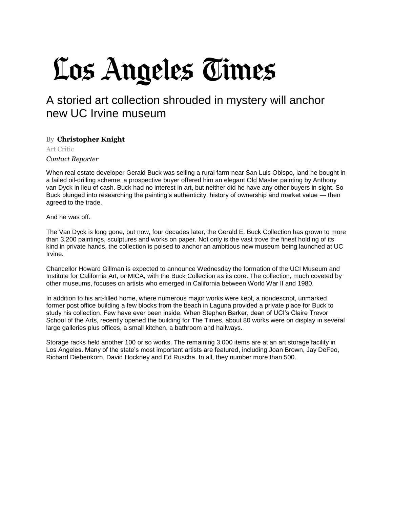## Los Angeles Times

## A storied art collection shrouded in mystery will anchor new UC Irvine museum

## By **Christopher Knight**

Art Critic *[Contact Reporter](mailto:christopher.knight@latimes.com?subject=Regarding:%20%22A%20storied%20art%20collection%20shrouded%20in%20mystery%20will%20anchor%20new%20UC%20Irvine%20museum%22)*

When real estate developer Gerald Buck was selling a rural farm near San Luis Obispo, land he bought in a failed oil-drilling scheme, a prospective buyer offered him an elegant Old Master painting by Anthony van Dyck in lieu of cash. Buck had no interest in art, but neither did he have any other buyers in sight. So Buck plunged into researching the painting's authenticity, history of ownership and market value — then agreed to the trade.

And he was off.

The Van Dyck is long gone, but now, four decades later, the Gerald E. Buck Collection has grown to more than 3,200 paintings, sculptures and works on paper. Not only is the vast trove the finest holding of its kind in private hands, the collection is poised to anchor an ambitious new museum being launched at UC Irvine.

Chancellor Howard Gillman is expected to announce Wednesday the formation of the UCI Museum and Institute for California Art, or MICA, with the Buck Collection as its core. The collection, much coveted by other museums, focuses on artists who emerged in California between World War II and 1980.

In addition to his art-filled home, where numerous major works were kept, a nondescript, unmarked former post office building a few blocks from the beach in Laguna provided a private place for Buck to study his collection. Few have ever been inside. When Stephen Barker, dean of UCI's Claire Trevor School of the Arts, recently opened the building for The Times, about 80 works were on display in several large galleries plus offices, a small kitchen, a bathroom and hallways.

Storage racks held another 100 or so works. The remaining 3,000 items are at an art storage facility in Los Angeles. Many of the state's most important artists are featured, including Joan Brown, Jay DeFeo, Richard Diebenkorn, David Hockney and Ed Ruscha. In all, they number more than 500.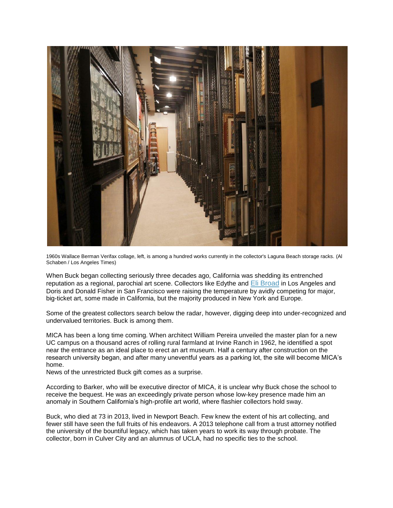

1960s Wallace Berman Verifax collage, left, is among a hundred works currently in the collector's Laguna Beach storage racks. (Al Schaben / Los Angeles Times)

When Buck began collecting seriously three decades ago, California was shedding its entrenched reputation as a regional, parochial art scene. Collectors like Edythe and [Eli Broad](http://www.latimes.com/topic/business/eli-broad-PEBSL014823-topic.html) in Los Angeles and Doris and Donald Fisher in San Francisco were raising the temperature by avidly competing for major, big-ticket art, some made in California, but the majority produced in New York and Europe.

Some of the greatest collectors search below the radar, however, digging deep into under-recognized and undervalued territories. Buck is among them.

MICA has been a long time coming. When architect William Pereira unveiled the master plan for a new UC campus on a thousand acres of rolling rural farmland at Irvine Ranch in 1962, he identified a spot near the entrance as an ideal place to erect an art museum. Half a century after construction on the research university began, and after many uneventful years as a parking lot, the site will become MICA's home.

News of the unrestricted Buck gift comes as a surprise.

According to Barker, who will be executive director of MICA, it is unclear why Buck chose the school to receive the bequest. He was an exceedingly private person whose low-key presence made him an anomaly in Southern California's high-profile art world, where flashier collectors hold sway.

Buck, who died at 73 in 2013, lived in Newport Beach. Few knew the extent of his art collecting, and fewer still have seen the full fruits of his endeavors. A 2013 telephone call from a trust attorney notified the university of the bountiful legacy, which has taken years to work its way through probate. The collector, born in Culver City and an alumnus of UCLA, had no specific ties to the school.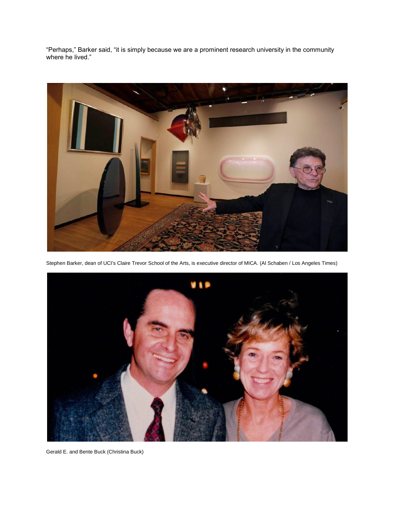"Perhaps," Barker said, "it is simply because we are a prominent research university in the community where he lived."



Stephen Barker, dean of UCI's Claire Trevor School of the Arts, is executive director of MICA. (Al Schaben / Los Angeles Times)



Gerald E. and Bente Buck (Christina Buck)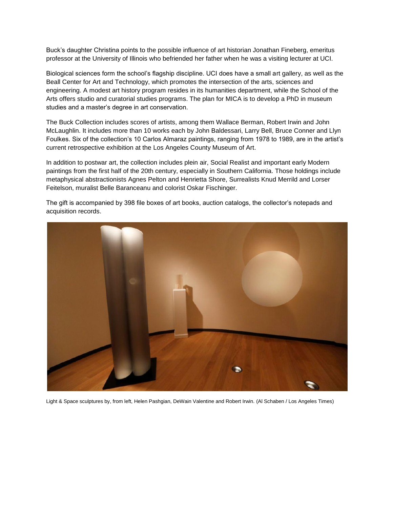Buck's daughter Christina points to the possible influence of art historian Jonathan Fineberg, emeritus professor at the University of Illinois who befriended her father when he was a visiting lecturer at UCI.

Biological sciences form the school's flagship discipline. UCI does have a small art gallery, as well as the Beall Center for Art and Technology, which promotes the intersection of the arts, sciences and engineering. A modest art history program resides in its humanities department, while the School of the Arts offers studio and curatorial studies programs. The plan for MICA is to develop a PhD in museum studies and a master's degree in art conservation.

The Buck Collection includes scores of artists, among them Wallace Berman, Robert Irwin and John McLaughlin. It includes more than 10 works each by John Baldessari, Larry Bell, Bruce Conner and Llyn Foulkes. Six of the collection's 10 Carlos Almaraz paintings, ranging from 1978 to 1989, are in the artist's current retrospective exhibition at the Los Angeles County Museum of Art.

In addition to postwar art, the collection includes plein air, Social Realist and important early Modern paintings from the first half of the 20th century, especially in Southern California. Those holdings include metaphysical abstractionists Agnes Pelton and Henrietta Shore, Surrealists Knud Merrild and Lorser Feitelson, muralist Belle Baranceanu and colorist Oskar Fischinger.

The gift is accompanied by 398 file boxes of art books, auction catalogs, the collector's notepads and acquisition records.



Light & Space sculptures by, from left, Helen Pashgian, DeWain Valentine and Robert Irwin. (Al Schaben / Los Angeles Times)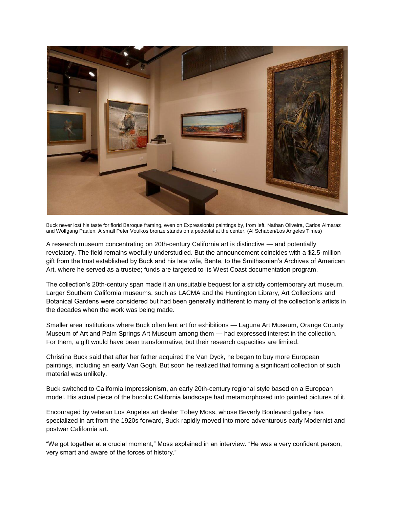

Buck never lost his taste for florid Baroque framing, even on Expressionist paintings by, from left, Nathan Oliveira, Carlos Almaraz and Wolfgang Paalen. A small Peter Voulkos bronze stands on a pedestal at the center. (Al Schaben/Los Angeles Times)

A research museum concentrating on 20th-century California art is distinctive — and potentially revelatory. The field remains woefully understudied. But the announcement coincides with a \$2.5-million gift from the trust established by Buck and his late wife, Bente, to the Smithsonian's Archives of American Art, where he served as a trustee; funds are targeted to its West Coast documentation program.

The collection's 20th-century span made it an unsuitable bequest for a strictly contemporary art museum. Larger Southern California museums, such as LACMA and the Huntington Library, Art Collections and Botanical Gardens were considered but had been generally indifferent to many of the collection's artists in the decades when the work was being made.

Smaller area institutions where Buck often lent art for exhibitions — Laguna Art Museum, Orange County Museum of Art and Palm Springs Art Museum among them — had expressed interest in the collection. For them, a gift would have been transformative, but their research capacities are limited.

Christina Buck said that after her father acquired the Van Dyck, he began to buy more European paintings, including an early Van Gogh. But soon he realized that forming a significant collection of such material was unlikely.

Buck switched to California Impressionism, an early 20th-century regional style based on a European model. His actual piece of the bucolic California landscape had metamorphosed into painted pictures of it.

Encouraged by veteran Los Angeles art dealer Tobey Moss, whose Beverly Boulevard gallery has specialized in art from the 1920s forward, Buck rapidly moved into more adventurous early Modernist and postwar California art.

"We got together at a crucial moment," Moss explained in an interview. "He was a very confident person, very smart and aware of the forces of history."